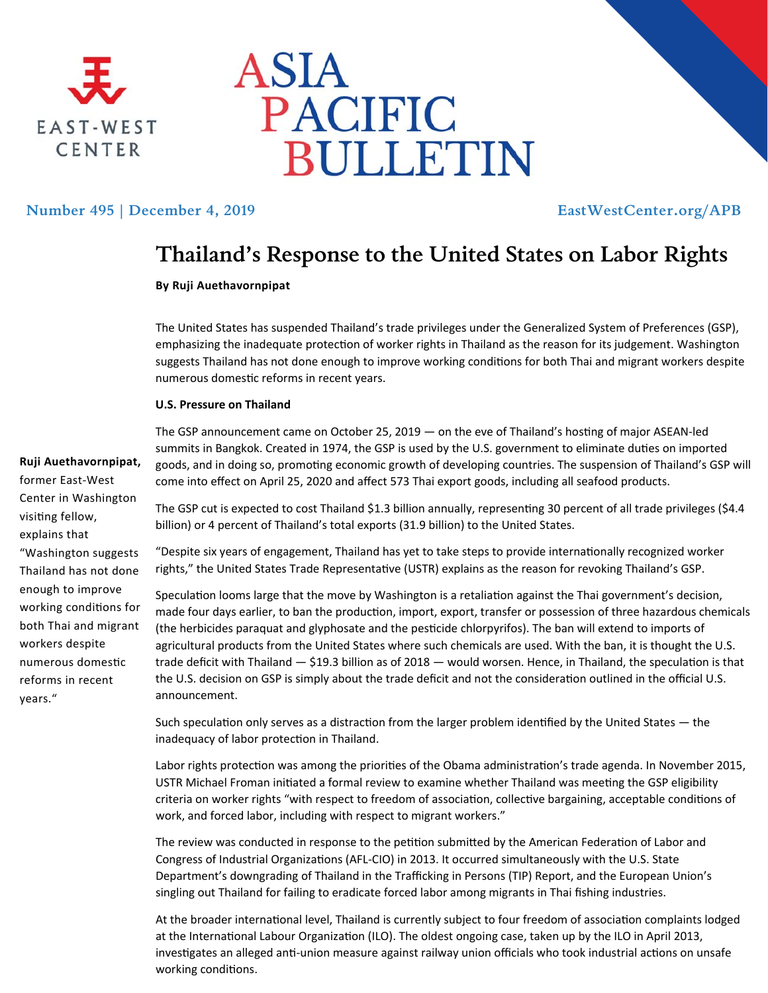



## **Number 495 | December 4, 2019 EastWestCenter.org/APB**

# **Thailand's Response to the United States on Labor Rights**

### **By Ruji Auethavornpipat**

The United States has suspended Thailand's trade privileges under the Generalized System of Preferences (GSP), emphasizing the inadequate protection of worker rights in Thailand as the reason for its judgement. Washington suggests Thailand has not done enough to improve working conditions for both Thai and migrant workers despite numerous domestic reforms in recent years.

#### **U.S. Pressure on Thailand**

The GSP announcement came on October 25, 2019 — on the eve of Thailand's hosting of major ASEAN-led summits in Bangkok. Created in 1974, the GSP is used by the U.S. government to eliminate duties on imported goods, and in doing so, promoting economic growth of developing countries. The suspension of Thailand's GSP will come into effect on April 25, 2020 and affect 573 Thai export goods, including all seafood products.

The GSP cut is expected to cost Thailand \$1.3 billion annually, representing 30 percent of all trade privileges (\$4.4 billion) or 4 percent of Thailand's total exports (31.9 billion) to the United States.

"Despite six years of engagement, Thailand has yet to take steps to provide internationally recognized worker rights," the United States Trade Representative (USTR) explains as the reason for revoking Thailand's GSP.

Speculation looms large that the move by Washington is a retaliation against the Thai government's decision, made four days earlier, to ban the production, import, export, transfer or possession of three hazardous chemicals (the herbicides paraquat and glyphosate and the pesticide chlorpyrifos). The ban will extend to imports of agricultural products from the United States where such chemicals are used. With the ban, it is thought the U.S. trade deficit with Thailand  $-$  \$19.3 billion as of 2018  $-$  would worsen. Hence, in Thailand, the speculation is that the U.S. decision on GSP is simply about the trade deficit and not the consideration outlined in the official U.S. announcement.

Such speculation only serves as a distraction from the larger problem identified by the United States — the inadequacy of labor protection in Thailand.

Labor rights protection was among the priorities of the Obama administration's trade agenda. In November 2015, USTR Michael Froman initiated a formal review to examine whether Thailand was meeting the GSP eligibility criteria on worker rights "with respect to freedom of association, collective bargaining, acceptable conditions of work, and forced labor, including with respect to migrant workers."

The review was conducted in response to the petition submitted by the American Federation of Labor and Congress of Industrial Organizations (AFL-CIO) in 2013. It occurred simultaneously with the U.S. State Department's downgrading of Thailand in the Trafficking in Persons (TIP) Report, and the European Union's singling out Thailand for failing to eradicate forced labor among migrants in Thai fishing industries.

At the broader international level, Thailand is currently subject to four freedom of association complaints lodged at the International Labour Organization (ILO). The oldest ongoing case, taken up by the ILO in April 2013, investigates an alleged anti-union measure against railway union officials who took industrial actions on unsafe working conditions.

**Ruji Auethavornpipat,**  former East‐West Center in Washington visiting fellow, explains that "Washington suggests Thailand has not done enough to improve working conditions for both Thai and migrant workers despite numerous domestic reforms in recent years."